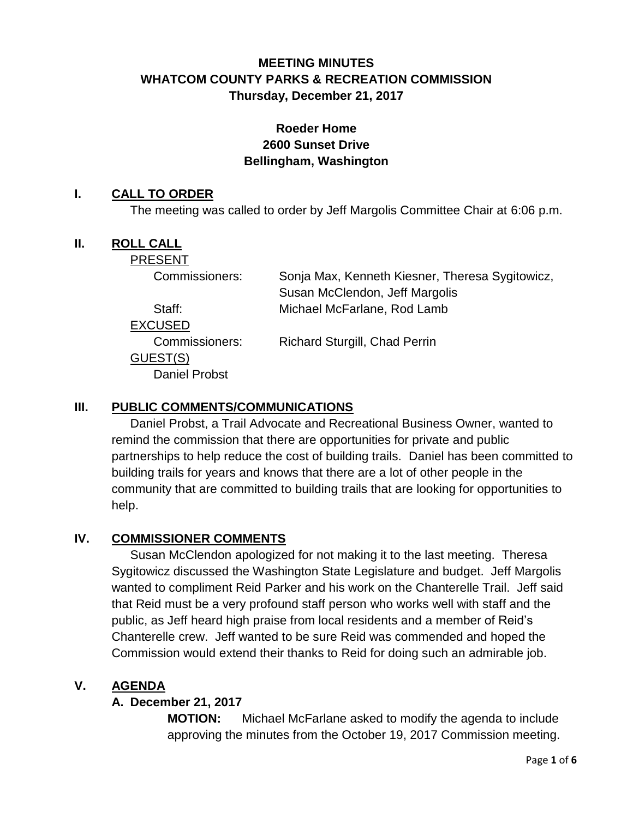# **MEETING MINUTES WHATCOM COUNTY PARKS & RECREATION COMMISSION Thursday, December 21, 2017**

## **Roeder Home 2600 Sunset Drive Bellingham, Washington**

#### **I. CALL TO ORDER**

The meeting was called to order by Jeff Margolis Committee Chair at 6:06 p.m.

#### **II. ROLL CALL**

PRESENT

| Commissioners:       | Sonja Max, Kenneth Kiesner, Theresa Sygitowicz,<br>Susan McClendon, Jeff Margolis |
|----------------------|-----------------------------------------------------------------------------------|
| Staff:               | Michael McFarlane, Rod Lamb                                                       |
| EXCUSED              |                                                                                   |
| Commissioners:       | <b>Richard Sturgill, Chad Perrin</b>                                              |
| GUEST(S)             |                                                                                   |
| <b>Daniel Probst</b> |                                                                                   |
|                      |                                                                                   |

### **III. PUBLIC COMMENTS/COMMUNICATIONS**

Daniel Probst, a Trail Advocate and Recreational Business Owner, wanted to remind the commission that there are opportunities for private and public partnerships to help reduce the cost of building trails. Daniel has been committed to building trails for years and knows that there are a lot of other people in the community that are committed to building trails that are looking for opportunities to help.

#### **IV. COMMISSIONER COMMENTS**

Susan McClendon apologized for not making it to the last meeting. Theresa Sygitowicz discussed the Washington State Legislature and budget. Jeff Margolis wanted to compliment Reid Parker and his work on the Chanterelle Trail. Jeff said that Reid must be a very profound staff person who works well with staff and the public, as Jeff heard high praise from local residents and a member of Reid's Chanterelle crew. Jeff wanted to be sure Reid was commended and hoped the Commission would extend their thanks to Reid for doing such an admirable job.

### **V. AGENDA**

### **A. December 21, 2017**

**MOTION:** Michael McFarlane asked to modify the agenda to include approving the minutes from the October 19, 2017 Commission meeting.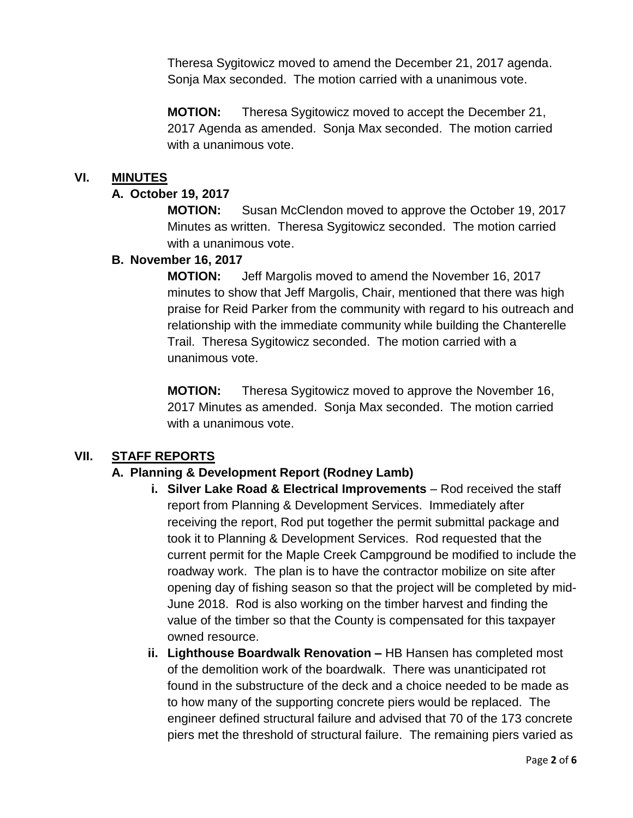Theresa Sygitowicz moved to amend the December 21, 2017 agenda. Sonja Max seconded. The motion carried with a unanimous vote.

**MOTION:** Theresa Sygitowicz moved to accept the December 21, 2017 Agenda as amended. Sonja Max seconded. The motion carried with a unanimous vote.

#### **VI. MINUTES**

#### **A. October 19, 2017**

**MOTION:** Susan McClendon moved to approve the October 19, 2017 Minutes as written. Theresa Sygitowicz seconded. The motion carried with a unanimous vote.

#### **B. November 16, 2017**

**MOTION:** Jeff Margolis moved to amend the November 16, 2017 minutes to show that Jeff Margolis, Chair, mentioned that there was high praise for Reid Parker from the community with regard to his outreach and relationship with the immediate community while building the Chanterelle Trail. Theresa Sygitowicz seconded. The motion carried with a unanimous vote.

**MOTION:** Theresa Sygitowicz moved to approve the November 16, 2017 Minutes as amended. Sonja Max seconded. The motion carried with a unanimous vote.

### **VII. STAFF REPORTS**

### **A. Planning & Development Report (Rodney Lamb)**

- **i.** Silver Lake Road & Electrical Improvements Rod received the staff report from Planning & Development Services. Immediately after receiving the report, Rod put together the permit submittal package and took it to Planning & Development Services. Rod requested that the current permit for the Maple Creek Campground be modified to include the roadway work. The plan is to have the contractor mobilize on site after opening day of fishing season so that the project will be completed by mid-June 2018. Rod is also working on the timber harvest and finding the value of the timber so that the County is compensated for this taxpayer owned resource.
- **ii. Lighthouse Boardwalk Renovation –** HB Hansen has completed most of the demolition work of the boardwalk. There was unanticipated rot found in the substructure of the deck and a choice needed to be made as to how many of the supporting concrete piers would be replaced. The engineer defined structural failure and advised that 70 of the 173 concrete piers met the threshold of structural failure. The remaining piers varied as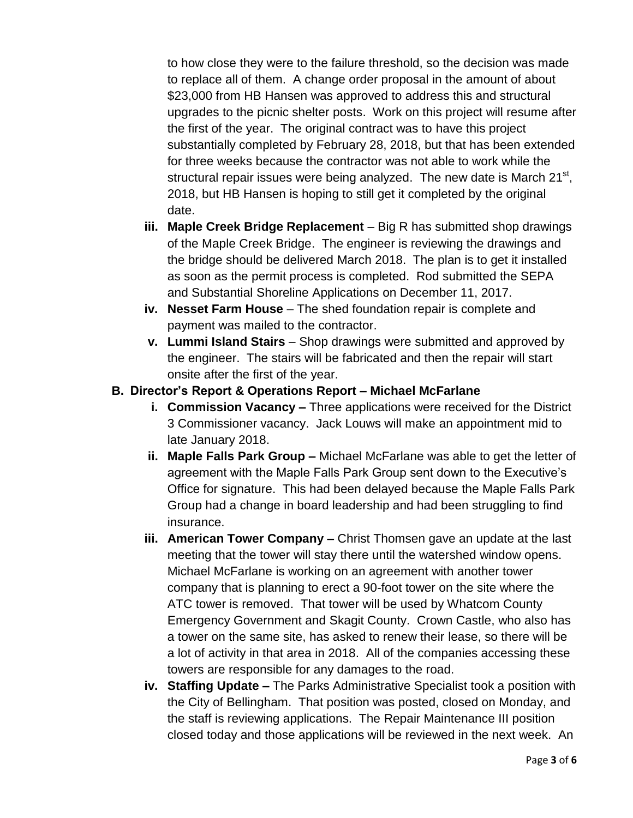to how close they were to the failure threshold, so the decision was made to replace all of them. A change order proposal in the amount of about \$23,000 from HB Hansen was approved to address this and structural upgrades to the picnic shelter posts. Work on this project will resume after the first of the year. The original contract was to have this project substantially completed by February 28, 2018, but that has been extended for three weeks because the contractor was not able to work while the structural repair issues were being analyzed. The new date is March 21<sup>st</sup>, 2018, but HB Hansen is hoping to still get it completed by the original date.

- **iii. Maple Creek Bridge Replacement** Big R has submitted shop drawings of the Maple Creek Bridge. The engineer is reviewing the drawings and the bridge should be delivered March 2018. The plan is to get it installed as soon as the permit process is completed. Rod submitted the SEPA and Substantial Shoreline Applications on December 11, 2017.
- **iv. Nesset Farm House** The shed foundation repair is complete and payment was mailed to the contractor.
- **v. Lummi Island Stairs**  Shop drawings were submitted and approved by the engineer. The stairs will be fabricated and then the repair will start onsite after the first of the year.
- **B. Director's Report & Operations Report – Michael McFarlane**
	- **i. Commission Vacancy –** Three applications were received for the District 3 Commissioner vacancy. Jack Louws will make an appointment mid to late January 2018.
	- **ii. Maple Falls Park Group –** Michael McFarlane was able to get the letter of agreement with the Maple Falls Park Group sent down to the Executive's Office for signature. This had been delayed because the Maple Falls Park Group had a change in board leadership and had been struggling to find insurance.
	- **iii. American Tower Company –** Christ Thomsen gave an update at the last meeting that the tower will stay there until the watershed window opens. Michael McFarlane is working on an agreement with another tower company that is planning to erect a 90-foot tower on the site where the ATC tower is removed. That tower will be used by Whatcom County Emergency Government and Skagit County. Crown Castle, who also has a tower on the same site, has asked to renew their lease, so there will be a lot of activity in that area in 2018. All of the companies accessing these towers are responsible for any damages to the road.
	- **iv. Staffing Update –** The Parks Administrative Specialist took a position with the City of Bellingham. That position was posted, closed on Monday, and the staff is reviewing applications. The Repair Maintenance III position closed today and those applications will be reviewed in the next week. An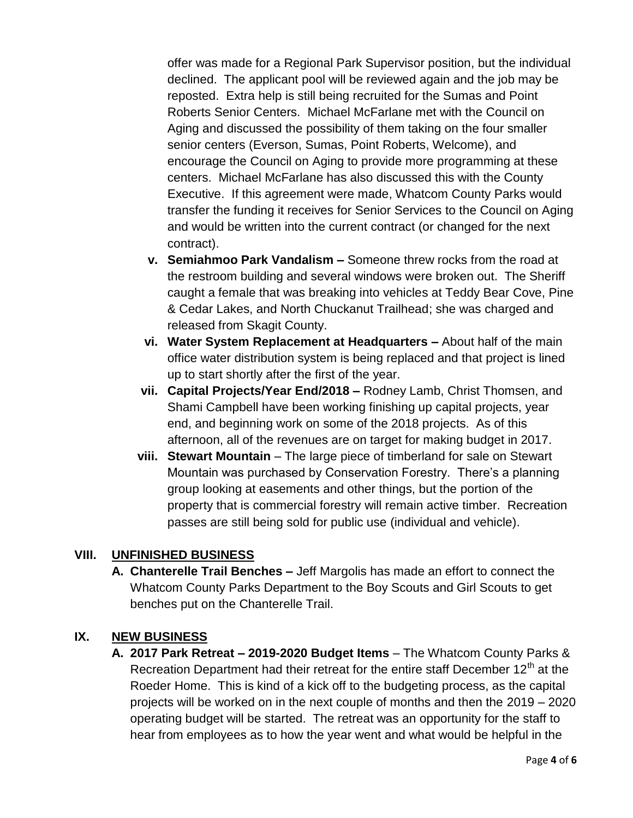offer was made for a Regional Park Supervisor position, but the individual declined. The applicant pool will be reviewed again and the job may be reposted. Extra help is still being recruited for the Sumas and Point Roberts Senior Centers. Michael McFarlane met with the Council on Aging and discussed the possibility of them taking on the four smaller senior centers (Everson, Sumas, Point Roberts, Welcome), and encourage the Council on Aging to provide more programming at these centers. Michael McFarlane has also discussed this with the County Executive. If this agreement were made, Whatcom County Parks would transfer the funding it receives for Senior Services to the Council on Aging and would be written into the current contract (or changed for the next contract).

- **v. Semiahmoo Park Vandalism –** Someone threw rocks from the road at the restroom building and several windows were broken out. The Sheriff caught a female that was breaking into vehicles at Teddy Bear Cove, Pine & Cedar Lakes, and North Chuckanut Trailhead; she was charged and released from Skagit County.
- **vi. Water System Replacement at Headquarters –** About half of the main office water distribution system is being replaced and that project is lined up to start shortly after the first of the year.
- **vii. Capital Projects/Year End/2018 –** Rodney Lamb, Christ Thomsen, and Shami Campbell have been working finishing up capital projects, year end, and beginning work on some of the 2018 projects. As of this afternoon, all of the revenues are on target for making budget in 2017.
- **viii. Stewart Mountain** The large piece of timberland for sale on Stewart Mountain was purchased by Conservation Forestry. There's a planning group looking at easements and other things, but the portion of the property that is commercial forestry will remain active timber. Recreation passes are still being sold for public use (individual and vehicle).

#### **VIII. UNFINISHED BUSINESS**

**A. Chanterelle Trail Benches –** Jeff Margolis has made an effort to connect the Whatcom County Parks Department to the Boy Scouts and Girl Scouts to get benches put on the Chanterelle Trail.

### **IX. NEW BUSINESS**

**A. 2017 Park Retreat – 2019-2020 Budget Items** – The Whatcom County Parks & Recreation Department had their retreat for the entire staff December  $12<sup>th</sup>$  at the Roeder Home. This is kind of a kick off to the budgeting process, as the capital projects will be worked on in the next couple of months and then the 2019 – 2020 operating budget will be started. The retreat was an opportunity for the staff to hear from employees as to how the year went and what would be helpful in the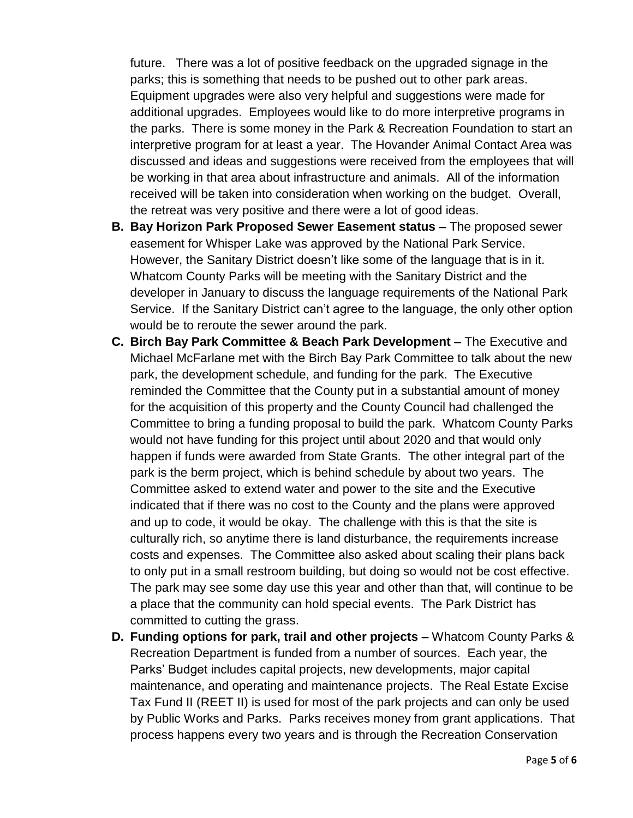future. There was a lot of positive feedback on the upgraded signage in the parks; this is something that needs to be pushed out to other park areas. Equipment upgrades were also very helpful and suggestions were made for additional upgrades. Employees would like to do more interpretive programs in the parks. There is some money in the Park & Recreation Foundation to start an interpretive program for at least a year. The Hovander Animal Contact Area was discussed and ideas and suggestions were received from the employees that will be working in that area about infrastructure and animals. All of the information received will be taken into consideration when working on the budget. Overall, the retreat was very positive and there were a lot of good ideas.

- **B. Bay Horizon Park Proposed Sewer Easement status –** The proposed sewer easement for Whisper Lake was approved by the National Park Service. However, the Sanitary District doesn't like some of the language that is in it. Whatcom County Parks will be meeting with the Sanitary District and the developer in January to discuss the language requirements of the National Park Service. If the Sanitary District can't agree to the language, the only other option would be to reroute the sewer around the park.
- **C. Birch Bay Park Committee & Beach Park Development –** The Executive and Michael McFarlane met with the Birch Bay Park Committee to talk about the new park, the development schedule, and funding for the park. The Executive reminded the Committee that the County put in a substantial amount of money for the acquisition of this property and the County Council had challenged the Committee to bring a funding proposal to build the park. Whatcom County Parks would not have funding for this project until about 2020 and that would only happen if funds were awarded from State Grants. The other integral part of the park is the berm project, which is behind schedule by about two years. The Committee asked to extend water and power to the site and the Executive indicated that if there was no cost to the County and the plans were approved and up to code, it would be okay. The challenge with this is that the site is culturally rich, so anytime there is land disturbance, the requirements increase costs and expenses. The Committee also asked about scaling their plans back to only put in a small restroom building, but doing so would not be cost effective. The park may see some day use this year and other than that, will continue to be a place that the community can hold special events. The Park District has committed to cutting the grass.
- **D. Funding options for park, trail and other projects –** Whatcom County Parks & Recreation Department is funded from a number of sources. Each year, the Parks' Budget includes capital projects, new developments, major capital maintenance, and operating and maintenance projects. The Real Estate Excise Tax Fund II (REET II) is used for most of the park projects and can only be used by Public Works and Parks. Parks receives money from grant applications. That process happens every two years and is through the Recreation Conservation